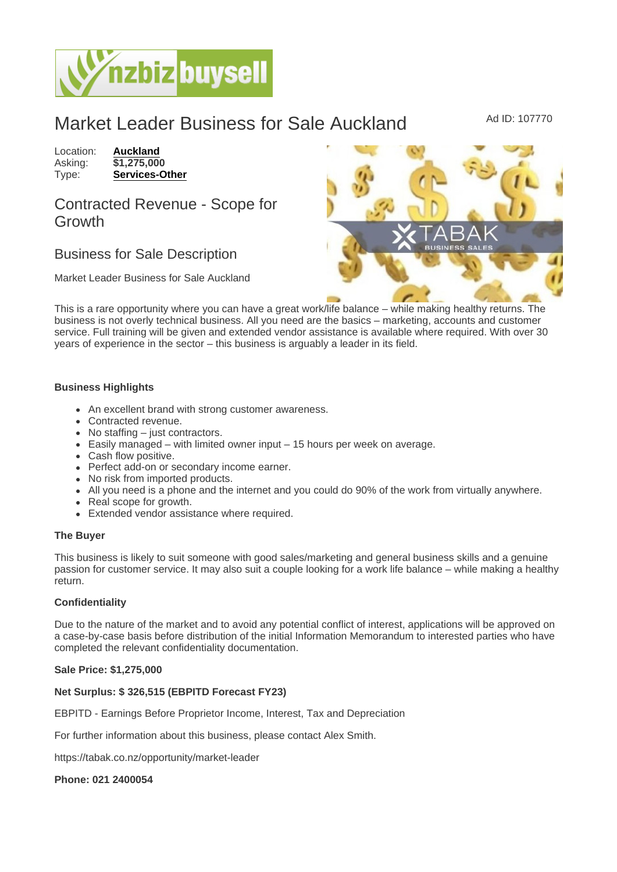# Market Leader Business for Sale Auckland Ad ID: 107770

Location: **[Auckland](https://www.nzbizbuysell.co.nz/businesses-for-sale/location/Auckland)**<br>Asking: \$1,275,00 Asking: \$1,275,000<br>Type: **Services-O** [Services-Other](https://www.nzbizbuysell.co.nz/businesses-for-sale/Services/New-Zealand)

Contracted Revenue - Scope for Growth

## Business for Sale Description

Market Leader Business for Sale Auckland

This is a rare opportunity where you can have a great work/life balance – while making healthy returns. The business is not overly technical business. All you need are the basics – marketing, accounts and customer service. Full training will be given and extended vendor assistance is available where required. With over 30 years of experience in the sector – this business is arguably a leader in its field.

### Business Highlights

- An excellent brand with strong customer awareness.
- Contracted revenue.
- No staffing just contractors.
- Easily managed with limited owner input 15 hours per week on average.
- Cash flow positive.
- Perfect add-on or secondary income earner.
- No risk from imported products.
- All you need is a phone and the internet and you could do 90% of the work from virtually anywhere.
- Real scope for growth.
- Extended vendor assistance where required.

### The Buyer

This business is likely to suit someone with good sales/marketing and general business skills and a genuine passion for customer service. It may also suit a couple looking for a work life balance – while making a healthy return.

### **Confidentiality**

Due to the nature of the market and to avoid any potential conflict of interest, applications will be approved on a case-by-case basis before distribution of the initial Information Memorandum to interested parties who have completed the relevant confidentiality documentation.

Sale Price: \$1,275,000

Net Surplus: \$ 326,515 (EBPITD Forecast FY23)

EBPITD - Earnings Before Proprietor Income, Interest, Tax and Depreciation

For further information about this business, please contact Alex Smith.

https://tabak.co.nz/opportunity/market-leader

Phone: 021 2400054